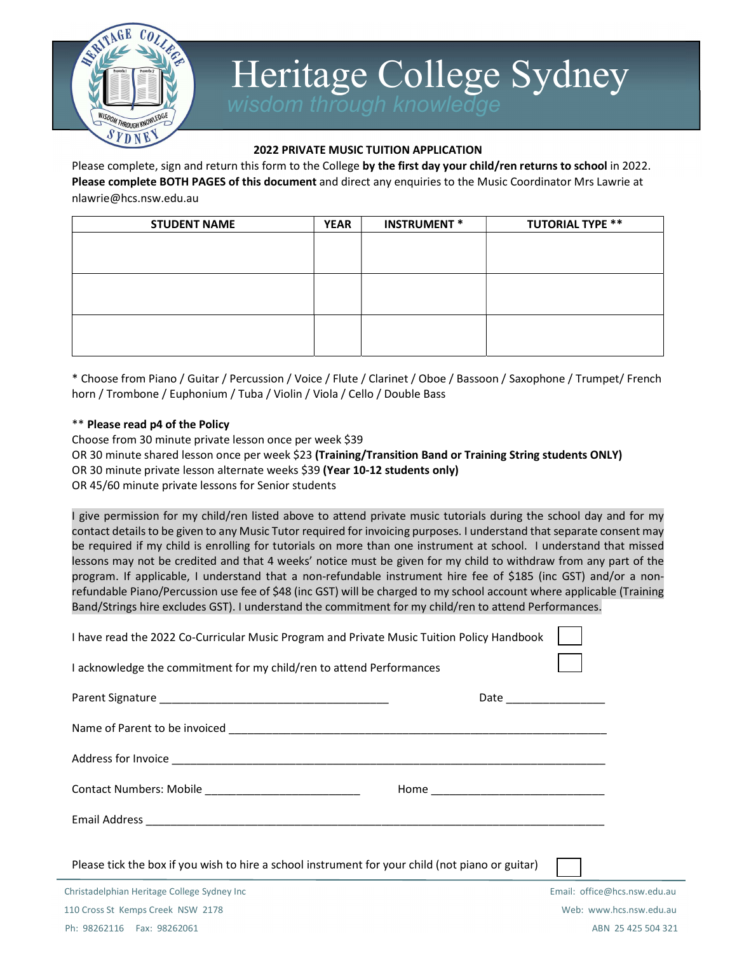

# Heritage College Sydney<br>Wisdom through knowledge

#### 2022 PRIVATE MUSIC TUITION APPLICATION

Please complete, sign and return this form to the College by the first day your child/ren returns to school in 2022. Please complete BOTH PAGES of this document and direct any enquiries to the Music Coordinator Mrs Lawrie at nlawrie@hcs.nsw.edu.au

| <b>STUDENT NAME</b> | <b>YEAR</b> | <b>INSTRUMENT *</b> | <b>TUTORIAL TYPE **</b> |
|---------------------|-------------|---------------------|-------------------------|
|                     |             |                     |                         |
|                     |             |                     |                         |
|                     |             |                     |                         |
|                     |             |                     |                         |
|                     |             |                     |                         |
|                     |             |                     |                         |
|                     |             |                     |                         |

\* Choose from Piano / Guitar / Percussion / Voice / Flute / Clarinet / Oboe / Bassoon / Saxophone / Trumpet/ French horn / Trombone / Euphonium / Tuba / Violin / Viola / Cello / Double Bass

#### \*\* Please read p4 of the Policy

Choose from 30 minute private lesson once per week \$39 OR 30 minute shared lesson once per week \$23 (Training/Transition Band or Training String students ONLY) OR 30 minute private lesson alternate weeks \$39 (Year 10-12 students only) OR 45/60 minute private lessons for Senior students

I give permission for my child/ren listed above to attend private music tutorials during the school day and for my contact details to be given to any Music Tutor required for invoicing purposes. I understand that separate consent may be required if my child is enrolling for tutorials on more than one instrument at school. I understand that missed lessons may not be credited and that 4 weeks' notice must be given for my child to withdraw from any part of the program. If applicable, I understand that a non-refundable instrument hire fee of \$185 (inc GST) and/or a nonrefundable Piano/Percussion use fee of \$48 (inc GST) will be charged to my school account where applicable (Training Band/Strings hire excludes GST). I understand the commitment for my child/ren to attend Performances.

| I have read the 2022 Co-Curricular Music Program and Private Music Tuition Policy Handbook       |                              |
|--------------------------------------------------------------------------------------------------|------------------------------|
| I acknowledge the commitment for my child/ren to attend Performances                             |                              |
|                                                                                                  | Date _________________       |
|                                                                                                  |                              |
|                                                                                                  |                              |
| Contact Numbers: Mobile ____________________________                                             |                              |
|                                                                                                  |                              |
| Please tick the box if you wish to hire a school instrument for your child (not piano or guitar) |                              |
| Christadelphian Heritage College Sydney Inc                                                      | Email: office@hcs.nsw.edu.au |
| 110 Cross St Kemps Creek NSW 2178                                                                | Web: www.hcs.nsw.edu.au      |